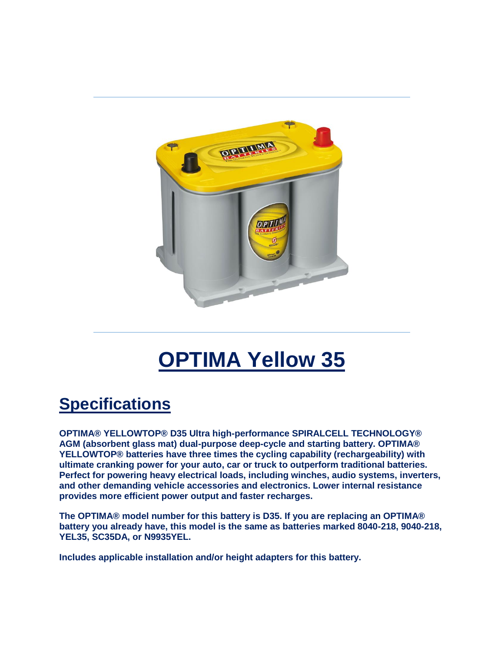

## **OPTIMA Yellow 35**

## **Specifications**

**OPTIMA® YELLOWTOP® D35 Ultra high-performance SPIRALCELL TECHNOLOGY® AGM (absorbent glass mat) dual-purpose deep-cycle and starting battery. OPTIMA® YELLOWTOP® batteries have three times the cycling capability (rechargeability) with ultimate cranking power for your auto, car or truck to outperform traditional batteries. Perfect for powering heavy electrical loads, including winches, audio systems, inverters, and other demanding vehicle accessories and electronics. Lower internal resistance provides more efficient power output and faster recharges.**

**The OPTIMA® model number for this battery is D35. If you are replacing an OPTIMA® battery you already have, this model is the same as batteries marked 8040-218, 9040-218, YEL35, SC35DA, or N9935YEL.**

**Includes applicable installation and/or height adapters for this battery.**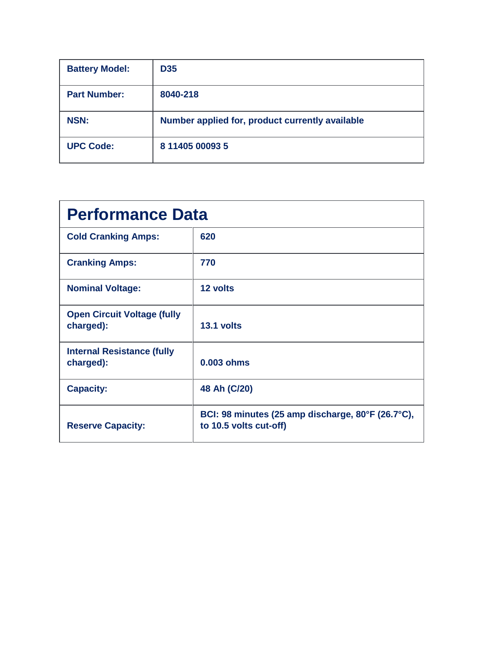| <b>Battery Model:</b> | <b>D35</b>                                      |
|-----------------------|-------------------------------------------------|
| <b>Part Number:</b>   | 8040-218                                        |
| <b>NSN:</b>           | Number applied for, product currently available |
| <b>UPC Code:</b>      | 8 11405 00093 5                                 |

| <b>Performance Data</b>                         |                                                                             |  |
|-------------------------------------------------|-----------------------------------------------------------------------------|--|
| <b>Cold Cranking Amps:</b>                      | 620                                                                         |  |
| <b>Cranking Amps:</b>                           | 770                                                                         |  |
| <b>Nominal Voltage:</b>                         | 12 volts                                                                    |  |
| <b>Open Circuit Voltage (fully</b><br>charged): | 13.1 volts                                                                  |  |
| <b>Internal Resistance (fully</b><br>charged):  | 0.003 ohms                                                                  |  |
| <b>Capacity:</b>                                | 48 Ah (C/20)                                                                |  |
| <b>Reserve Capacity:</b>                        | BCI: 98 minutes (25 amp discharge, 80°F (26.7°C),<br>to 10.5 volts cut-off) |  |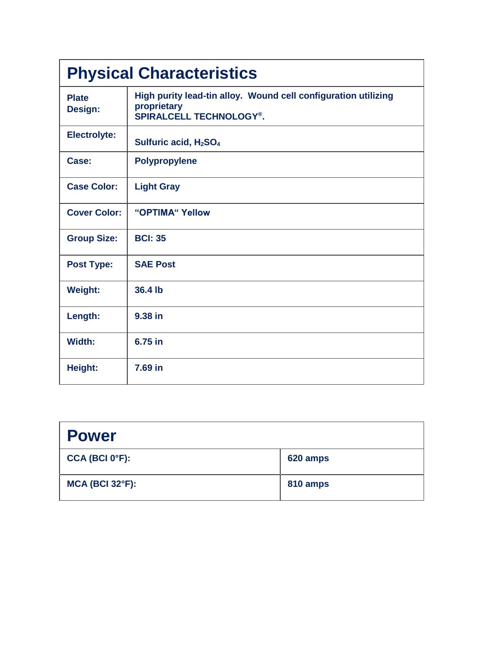| <b>Physical Characteristics</b> |                                                                                                                 |  |
|---------------------------------|-----------------------------------------------------------------------------------------------------------------|--|
| <b>Plate</b><br>Design:         | High purity lead-tin alloy. Wound cell configuration utilizing<br>proprietary<br><b>SPIRALCELL TECHNOLOGY®.</b> |  |
| <b>Electrolyte:</b>             | Sulfuric acid, H <sub>2</sub> SO <sub>4</sub>                                                                   |  |
| Case:                           | <b>Polypropylene</b>                                                                                            |  |
| <b>Case Color:</b>              | <b>Light Gray</b>                                                                                               |  |
| <b>Cover Color:</b>             | "OPTIMA" Yellow                                                                                                 |  |
| <b>Group Size:</b>              | <b>BCI: 35</b>                                                                                                  |  |
| <b>Post Type:</b>               | <b>SAE Post</b>                                                                                                 |  |
| <b>Weight:</b>                  | 36.4 lb                                                                                                         |  |
| Length:                         | 9.38 in                                                                                                         |  |
| Width:                          | 6.75 in                                                                                                         |  |
| Height:                         | 7.69 in                                                                                                         |  |

| <b>Power</b>                |          |
|-----------------------------|----------|
| CCA (BCI 0 <sup>o</sup> F): | 620 amps |
| <b>MCA (BCI 32°F):</b>      | 810 amps |